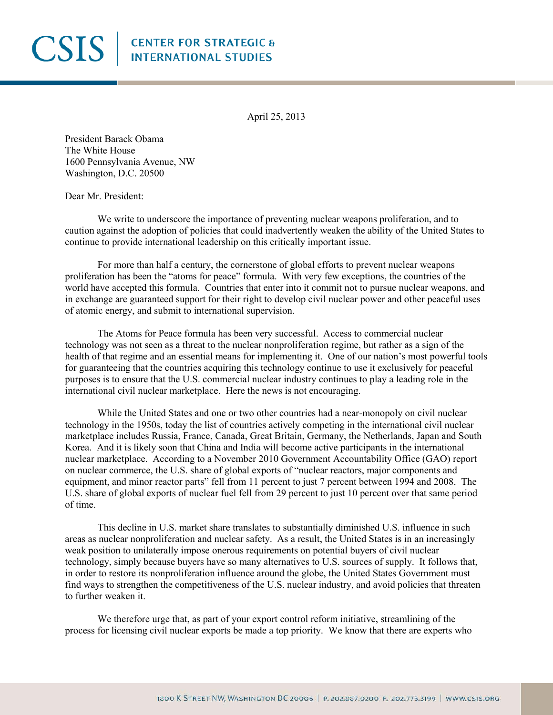## **CSIS** ENTER FOR STRATEGIC &

April 25, 2013

President Barack Obama The White House 1600 Pennsylvania Avenue, NW Washington, D.C. 20500

Dear Mr. President:

We write to underscore the importance of preventing nuclear weapons proliferation, and to caution against the adoption of policies that could inadvertently weaken the ability of the United States to continue to provide international leadership on this critically important issue.

For more than half a century, the cornerstone of global efforts to prevent nuclear weapons proliferation has been the "atoms for peace" formula. With very few exceptions, the countries of the world have accepted this formula. Countries that enter into it commit not to pursue nuclear weapons, and in exchange are guaranteed support for their right to develop civil nuclear power and other peaceful uses of atomic energy, and submit to international supervision.

The Atoms for Peace formula has been very successful. Access to commercial nuclear technology was not seen as a threat to the nuclear nonproliferation regime, but rather as a sign of the health of that regime and an essential means for implementing it. One of our nation's most powerful tools for guaranteeing that the countries acquiring this technology continue to use it exclusively for peaceful purposes is to ensure that the U.S. commercial nuclear industry continues to play a leading role in the international civil nuclear marketplace. Here the news is not encouraging.

While the United States and one or two other countries had a near-monopoly on civil nuclear technology in the 1950s, today the list of countries actively competing in the international civil nuclear marketplace includes Russia, France, Canada, Great Britain, Germany, the Netherlands, Japan and South Korea. And it is likely soon that China and India will become active participants in the international nuclear marketplace. According to a November 2010 Government Accountability Office (GAO) report on nuclear commerce, the U.S. share of global exports of "nuclear reactors, major components and equipment, and minor reactor parts" fell from 11 percent to just 7 percent between 1994 and 2008. The U.S. share of global exports of nuclear fuel fell from 29 percent to just 10 percent over that same period of time.

This decline in U.S. market share translates to substantially diminished U.S. influence in such areas as nuclear nonproliferation and nuclear safety. As a result, the United States is in an increasingly weak position to unilaterally impose onerous requirements on potential buyers of civil nuclear technology, simply because buyers have so many alternatives to U.S. sources of supply. It follows that, in order to restore its nonproliferation influence around the globe, the United States Government must find ways to strengthen the competitiveness of the U.S. nuclear industry, and avoid policies that threaten to further weaken it.

We therefore urge that, as part of your export control reform initiative, streamlining of the process for licensing civil nuclear exports be made a top priority. We know that there are experts who